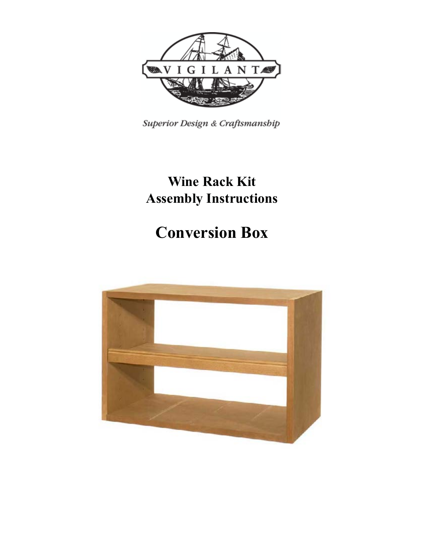

Superior Design & Craftsmanship

## **Wine Rack Kit Assembly Instructions**

# **Conversion Box**

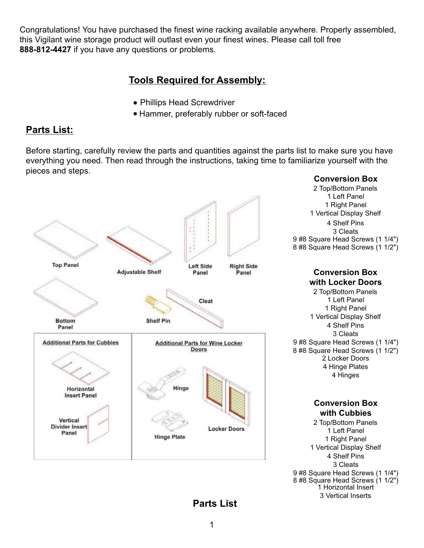Congratulations! You have purchased the finest wine racking available anywhere. Properly assembled, this Vigilant wine storage product will outlast even your finest wines. Please call toll free **888-812-4427** if you have any questions or problems.

### **Tools Required for Assembly:**

- Phillips Head Screwdriver
- Hammer, preferably rubber or soft-faced

### **Parts List:**

Before starting, carefully review the parts and quantities against the parts list to make sure you have everything you need. Then read through the instructions, taking time to familiarize yourself with the pieces and steps.



**Parts List**

1 Horizontal Insert 3 Vertical Inserts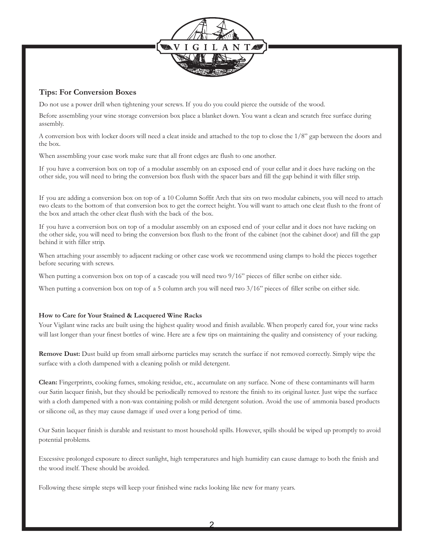

#### **Tips: For Conversion Boxes**

Do not use a power drill when tightening your screws. If you do you could pierce the outside of the wood.

Before assembling your wine storage conversion box place a blanket down. You want a clean and scratch free surface during assembly.

A conversion box with locker doors will need a cleat inside and attached to the top to close the 1/8" gap between the doors and the box.

When assembling your case work make sure that all front edges are flush to one another.

If you have a conversion box on top of a modular assembly on an exposed end of your cellar and it does have racking on the other side, you will need to bring the conversion box flush with the spacer bars and fill the gap behind it with filler strip.

If you are adding a conversion box on top of a 10 Column Soffit Arch that sits on two modular cabinets, you will need to attach two cleats to the bottom of that conversion box to get the correct height. You will want to attach one cleat flush to the front of the box and attach the other cleat flush with the back of the box.

If you have a conversion box on top of a modular assembly on an exposed end of your cellar and it does not have racking on the other side, you will need to bring the conversion box flush to the front of the cabinet (not the cabinet door) and fill the gap behind it with filler strip.

When attaching your assembly to adjacent racking or other case work we recommend using clamps to hold the pieces together before securing with screws.

When putting a conversion box on top of a cascade you will need two  $9/16$ " pieces of filler scribe on either side.

When putting a conversion box on top of a 5 column arch you will need two  $3/16$ " pieces of filler scribe on either side.

#### **How to Care for Your Stained & Lacquered Wine Racks**

Your Vigilant wine racks are built using the highest quality wood and finish available. When properly cared for, your wine racks will last longer than your finest bottles of wine. Here are a few tips on maintaining the quality and consistency of your racking.

**Remove Dust:** Dust build up from small airborne particles may scratch the surface if not removed correctly. Simply wipe the surface with a cloth dampened with a cleaning polish or mild detergent.

**Clean:** Fingerprints, cooking fumes, smoking residue, etc., accumulate on any surface. None of these contaminants will harm our Satin lacquer finish, but they should be periodically removed to restore the finish to its original luster. Just wipe the surface with a cloth dampened with a non-wax containing polish or mild detergent solution. Avoid the use of ammonia based products or silicone oil, as they may cause damage if used over a long period of time.

Our Satin lacquer finish is durable and resistant to most household spills. However, spills should be wiped up promptly to avoid potential problems.

Excessive prolonged exposure to direct sunlight, high temperatures and high humidity can cause damage to both the finish and the wood itself. These should be avoided.

Following these simple steps will keep your finished wine racks looking like new for many years.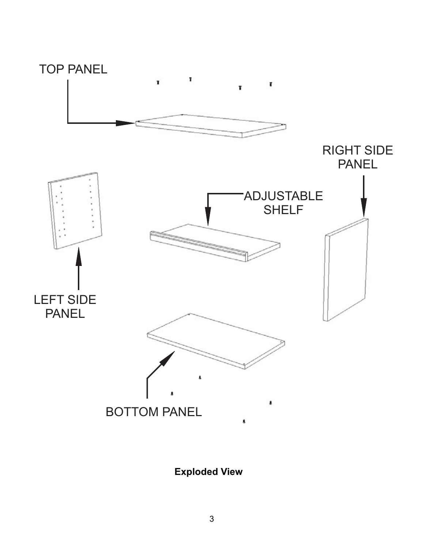

**Exploded View**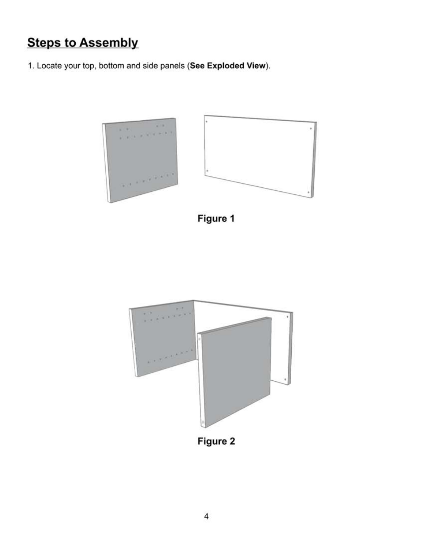## **Steps to Assembly**

1. Locate your top, bottom and side panels (See Exploded View).



Figure 1



Figure 2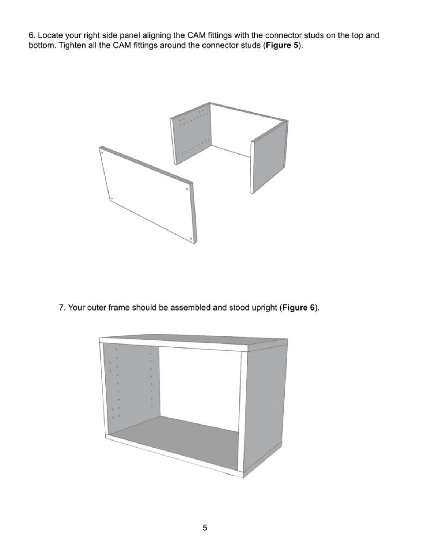6. Locate your right side panel aligning the CAM fittings with the connector studs on the top and bottom. Tighten all the CAM fittings around the connector studs (Figure 5).



7. Your outer frame should be assembled and stood upright (Figure 6).

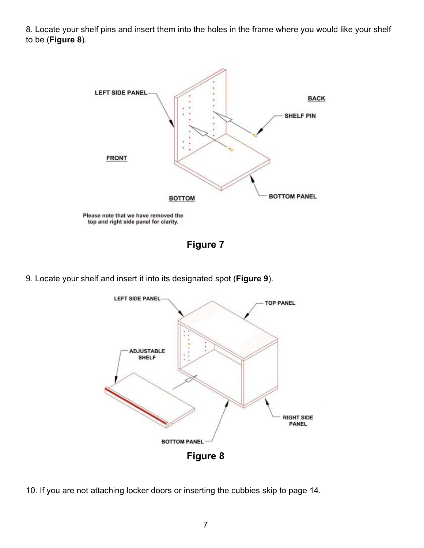8. Locate your shelf pins and insert them into the holes in the frame where you would like your shelf to be (**Figure 8**).



**Figure 7**

9. Locate your shelf and insert it into its designated spot (**Figure 9**).



10. If you are not attaching locker doors or inserting the cubbies skip to page 14.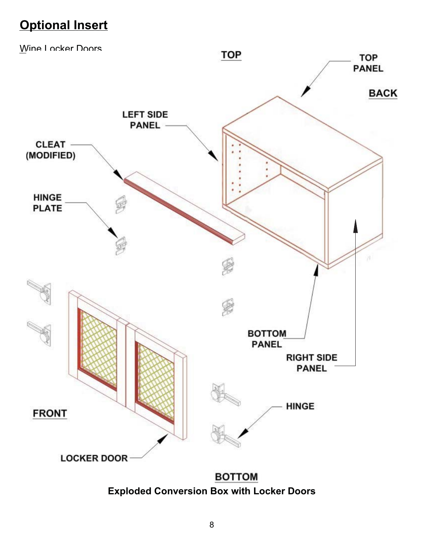## **Optional Insert**



**Exploded Conversion Box with Locker Doors**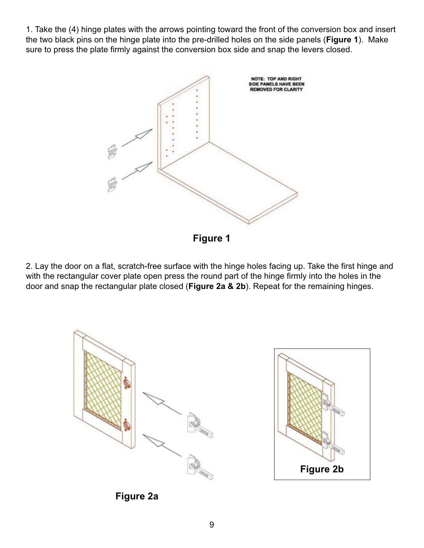1. Take the (4) hinge plates with the arrows pointing toward the front of the conversion box and insert the two black pins on the hinge plate into the pre-drilled holes on the side panels (**Figure 1**). Make sure to press the plate firmly against the conversion box side and snap the levers closed.



**Figure 1**

2. Lay the door on a flat, scratch-free surface with the hinge holes facing up. Take the first hinge and with the rectangular cover plate open press the round part of the hinge firmly into the holes in the door and snap the rectangular plate closed (**Figure 2a & 2b**). Repeat for the remaining hinges.





**Figure 2a**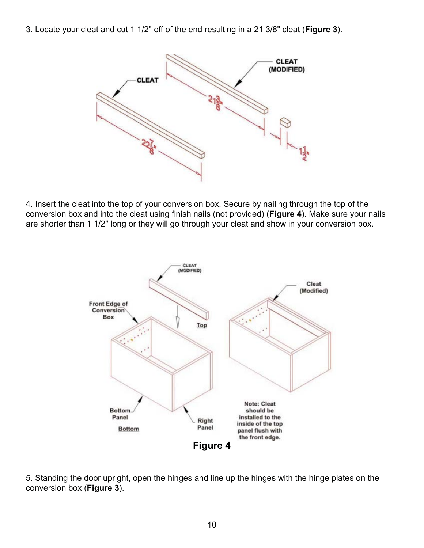3. Locate your cleat and cut 1 1/2" off of the end resulting in a 21 3/8" cleat (**Figure 3**).



4. Insert the cleat into the top of your conversion box. Secure by nailing through the top of the conversion box and into the cleat using finish nails (not provided) (**Figure 4**). Make sure your nails are shorter than 1 1/2" long or they will go through your cleat and show in your conversion box.



5. Standing the door upright, open the hinges and line up the hinges with the hinge plates on the conversion box (**Figure 3**).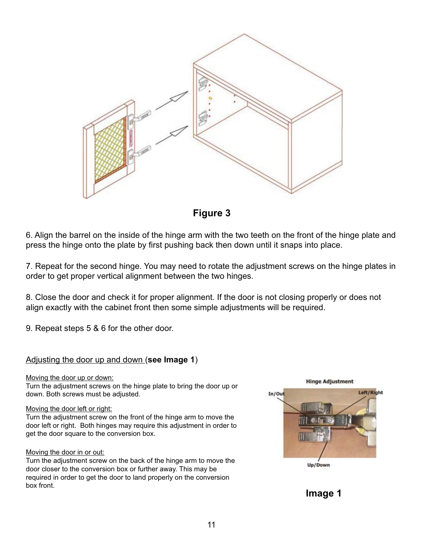

**Figure 3**

6. Align the barrel on the inside of the hinge arm with the two teeth on the front of the hinge plate and press the hinge onto the plate by first pushing back then down until it snaps into place.

7. Repeat for the second hinge. You may need to rotate the adjustment screws on the hinge plates in order to get proper vertical alignment between the two hinges.

8. Close the door and check it for proper alignment. If the door is not closing properly or does not align exactly with the cabinet front then some simple adjustments will be required.

9. Repeat steps 5 & 6 for the other door.

#### Adjusting the door up and down (**see Image 1**)

#### Moving the door up or down:

Turn the adjustment screws on the hinge plate to bring the door up or down. Both screws must be adjusted.

#### Moving the door left or right:

Turn the adjustment screw on the front of the hinge arm to move the door left or right. Both hinges may require this adjustment in order to get the door square to the conversion box.

#### Moving the door in or out:

Turn the adjustment screw on the back of the hinge arm to move the door closer to the conversion box or further away. This may be required in order to get the door to land properly on the conversion box front.



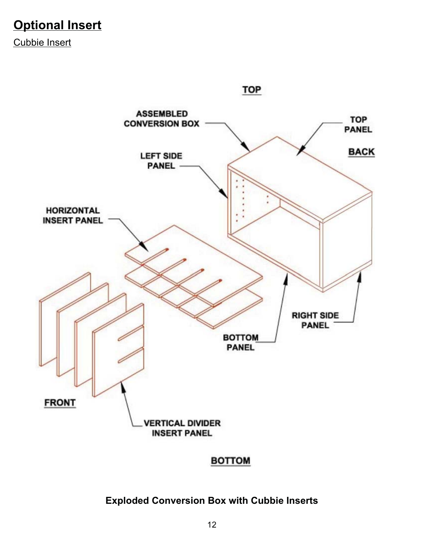## **Optional Insert**

Cubbie Insert



### **BOTTOM**

### **Exploded Conversion Box with Cubbie Inserts**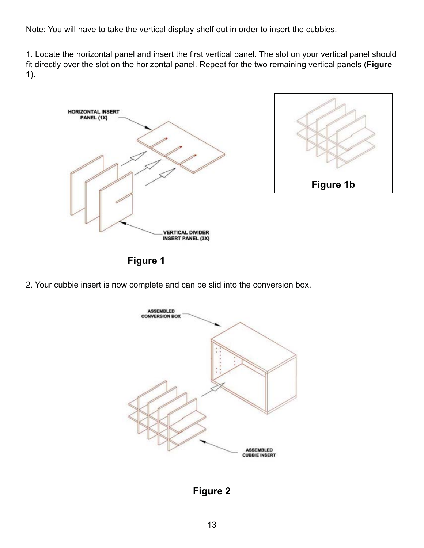Note: You will have to take the vertical display shelf out in order to insert the cubbies.

1. Locate the horizontal panel and insert the first vertical panel. The slot on your vertical panel should fit directly over the slot on the horizontal panel. Repeat for the two remaining vertical panels (**Figure 1**).





**Figure 1**

2. Your cubbie insert is now complete and can be slid into the conversion box.



**Figure 2**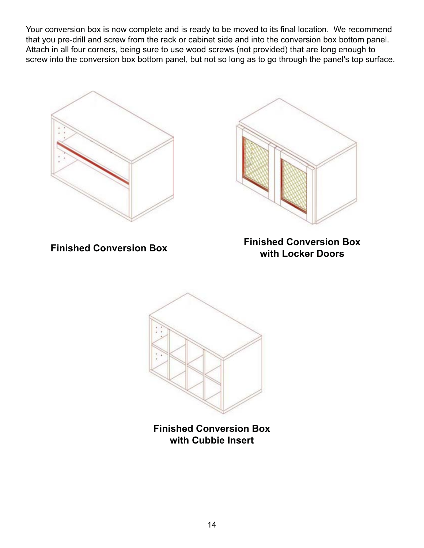Your conversion box is now complete and is ready to be moved to its final location. We recommend that you pre-drill and screw from the rack or cabinet side and into the conversion box bottom panel. Attach in all four corners, being sure to use wood screws (not provided) that are long enough to screw into the conversion box bottom panel, but not so long as to go through the panel's top surface.





**Finished Conversion Box Finished Conversion Box with Locker Doors**



**Finished Conversion Box with Cubbie Insert**